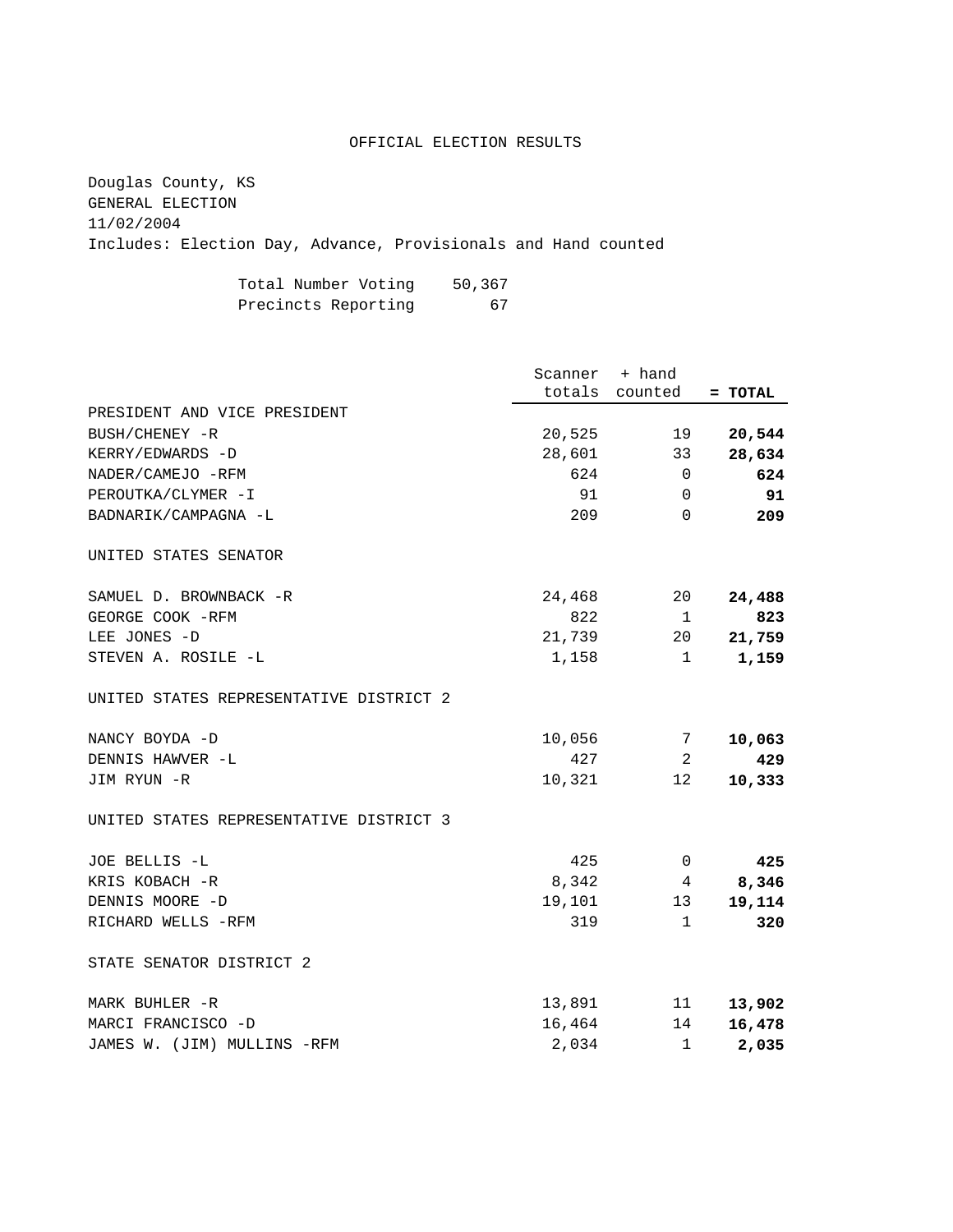## OFFICIAL ELECTION RESULTS

Douglas County, KS GENERAL ELECTION 11/02/2004 Includes: Election Day, Advance, Provisionals and Hand counted

| Total Number Voting | 50,367 |
|---------------------|--------|
| Precincts Reporting | 67     |

|                                         | Scanner + hand | totals counted  | = TOTAL |
|-----------------------------------------|----------------|-----------------|---------|
| PRESIDENT AND VICE PRESIDENT            |                |                 |         |
| BUSH/CHENEY -R                          | 20,525         | 19              | 20,544  |
| KERRY/EDWARDS -D                        | 28,601         | 33              | 28,634  |
| NADER/CAMEJO -RFM                       | 624            | $\mathbf 0$     | 624     |
| PEROUTKA/CLYMER -I                      | 91             | $\mathbf 0$     | 91      |
| BADNARIK/CAMPAGNA -L                    | 209            | $\Omega$        | 209     |
| UNITED STATES SENATOR                   |                |                 |         |
| SAMUEL D. BROWNBACK -R                  | 24,468         | 20              | 24,488  |
| GEORGE COOK -RFM                        | 822            | 1               | 823     |
| LEE JONES -D                            | 21,739         | 20 <sub>o</sub> | 21,759  |
| STEVEN A. ROSILE -L                     | 1,158          | 1               | 1,159   |
| UNITED STATES REPRESENTATIVE DISTRICT 2 |                |                 |         |
| NANCY BOYDA -D                          | 10,056         | 7               | 10,063  |
| DENNIS HAWVER -L                        | 427            | 2               | 429     |
| JIM RYUN -R                             | 10,321         | 12 <sub>2</sub> | 10,333  |
| UNITED STATES REPRESENTATIVE DISTRICT 3 |                |                 |         |
| JOE BELLIS -L                           | 425            | $\Omega$        | 425     |
| KRIS KOBACH -R                          | 8,342          | 4               | 8,346   |
| DENNIS MOORE -D                         | 19,101         | 13              | 19,114  |
| RICHARD WELLS -RFM                      | 319            | $\mathbf{1}$    | 320     |
| STATE SENATOR DISTRICT 2                |                |                 |         |
| MARK BUHLER -R                          | 13,891         | 11              | 13,902  |
| MARCI FRANCISCO -D                      | 16,464         | 14              | 16,478  |
| JAMES W. (JIM) MULLINS -RFM             | 2,034          | 1               | 2,035   |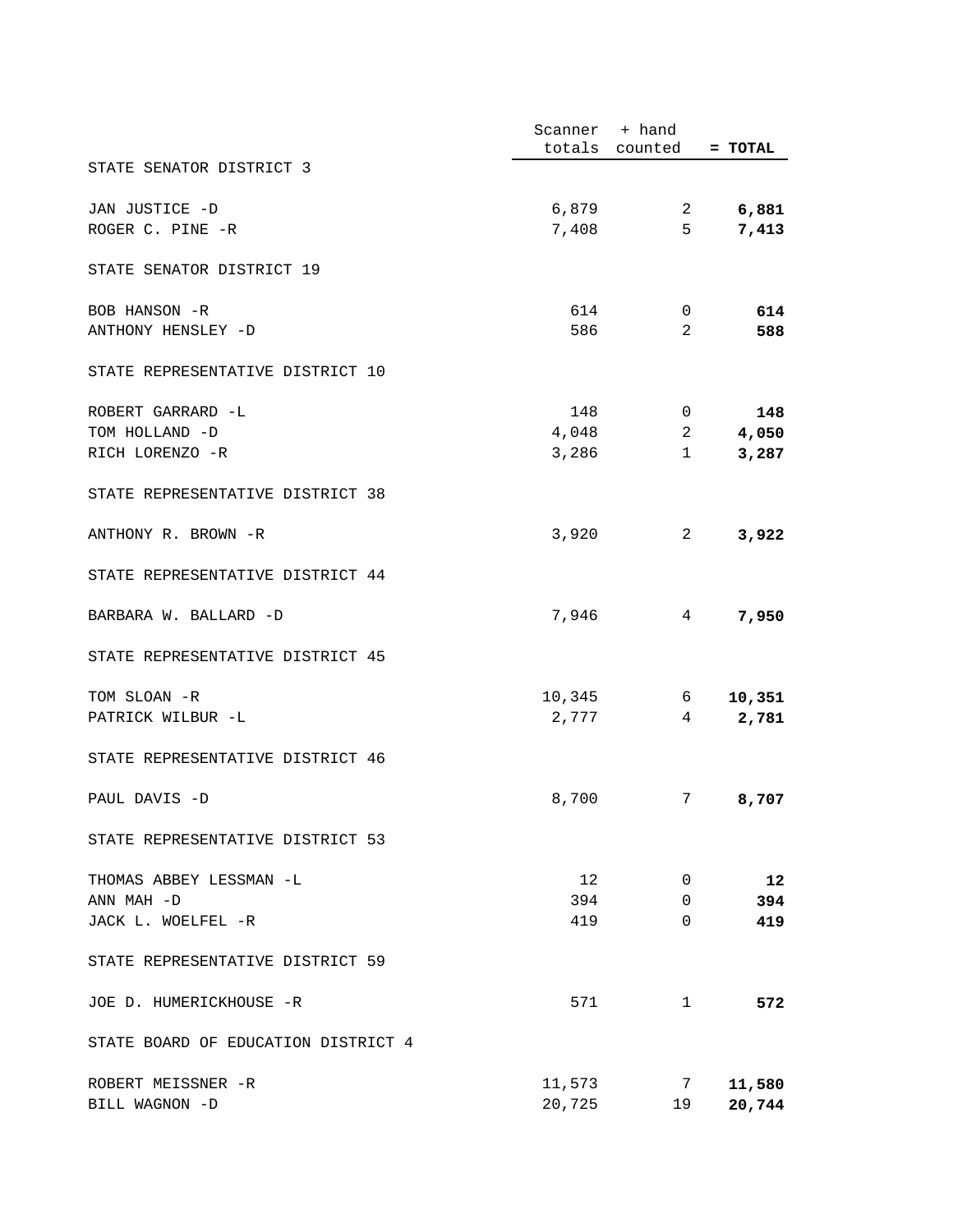|                                     | Scanner + hand |                |           |
|-------------------------------------|----------------|----------------|-----------|
|                                     |                | totals counted | $= TOTAL$ |
| STATE SENATOR DISTRICT 3            |                |                |           |
| JAN JUSTICE -D                      | 6,879          | $\mathbf{2}$   | 6,881     |
| ROGER C. PINE -R                    | 7,408          | 5              | 7,413     |
| STATE SENATOR DISTRICT 19           |                |                |           |
| BOB HANSON -R                       | 614            | 0              | 614       |
| ANTHONY HENSLEY -D                  | 586            | 2              | 588       |
| STATE REPRESENTATIVE DISTRICT 10    |                |                |           |
| ROBERT GARRARD -L                   | 148            | 0              | 148       |
| TOM HOLLAND -D                      | 4,048          | 2              | 4,050     |
| RICH LORENZO -R                     | 3,286          | $\mathbf{1}$   | 3,287     |
| STATE REPRESENTATIVE DISTRICT 38    |                |                |           |
| ANTHONY R. BROWN -R                 | 3,920          | 2              | 3,922     |
| STATE REPRESENTATIVE DISTRICT 44    |                |                |           |
| BARBARA W. BALLARD -D               | 7,946          | 4              | 7,950     |
| STATE REPRESENTATIVE DISTRICT 45    |                |                |           |
| TOM SLOAN -R                        | 10,345         | 6 —            | 10,351    |
| PATRICK WILBUR -L                   | 2,777          | 4              | 2,781     |
| STATE REPRESENTATIVE DISTRICT 46    |                |                |           |
| PAUL DAVIS -D                       | 8,700          | 7              | 8,707     |
| STATE REPRESENTATIVE DISTRICT 53    |                |                |           |
| THOMAS ABBEY LESSMAN -L             | 12             | 0              | 12        |
| ANN MAH -D                          | 394            | 0              | 394       |
| JACK L. WOELFEL -R                  | 419            | $\Omega$       | 419       |
| STATE REPRESENTATIVE DISTRICT 59    |                |                |           |
| JOE D. HUMERICKHOUSE -R             | 571            | $\mathbf{1}$   | 572       |
| STATE BOARD OF EDUCATION DISTRICT 4 |                |                |           |
| ROBERT MEISSNER -R                  | 11,573         | 7              | 11,580    |
| BILL WAGNON -D                      | 20,725         | 19             | 20,744    |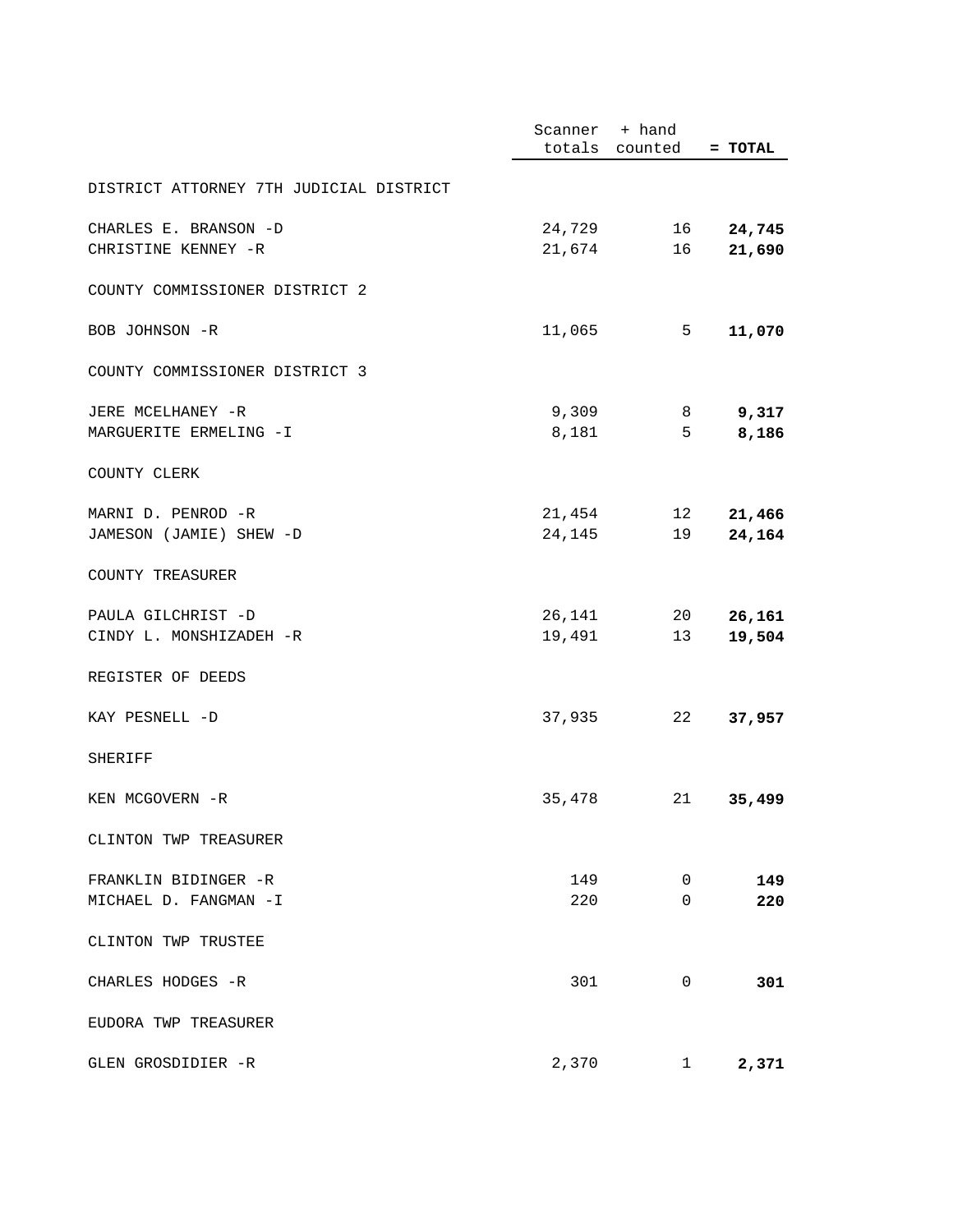|                                         | Scanner + hand |                 |           |
|-----------------------------------------|----------------|-----------------|-----------|
|                                         |                | totals counted  | $= TOTAL$ |
| DISTRICT ATTORNEY 7TH JUDICIAL DISTRICT |                |                 |           |
| CHARLES E. BRANSON -D                   | 24,729         | 16              | 24,745    |
| CHRISTINE KENNEY -R                     | 21,674         | 16              | 21,690    |
|                                         |                |                 |           |
| COUNTY COMMISSIONER DISTRICT 2          |                |                 |           |
| BOB JOHNSON -R                          | 11,065         | 5               | 11,070    |
| COUNTY COMMISSIONER DISTRICT 3          |                |                 |           |
| JERE MCELHANEY -R                       | 9,309          | 8               | 9,317     |
| MARGUERITE ERMELING -I                  | 8,181          | 5               | 8,186     |
| COUNTY CLERK                            |                |                 |           |
| MARNI D. PENROD -R                      | 21,454         | 12 <sup>°</sup> | 21,466    |
| JAMESON (JAMIE) SHEW -D                 | 24,145         | 19              | 24,164    |
| COUNTY TREASURER                        |                |                 |           |
|                                         |                |                 |           |
| PAULA GILCHRIST -D                      | 26,141         | 20              | 26,161    |
| CINDY L. MONSHIZADEH -R                 | 19,491         | 13              | 19,504    |
| REGISTER OF DEEDS                       |                |                 |           |
| KAY PESNELL -D                          | 37,935         | 22              | 37,957    |
|                                         |                |                 |           |
| SHERIFF                                 |                |                 |           |
| KEN MCGOVERN -R                         | 35,478         | 21              | 35,499    |
| CLINTON TWP TREASURER                   |                |                 |           |
| FRANKLIN BIDINGER -R                    | 149            | 0               | 149       |
| MICHAEL D. FANGMAN -I                   | 220            | 0               | 220       |
| CLINTON TWP TRUSTEE                     |                |                 |           |
| CHARLES HODGES -R                       | 301            | 0               | 301       |
| EUDORA TWP TREASURER                    |                |                 |           |
| GLEN GROSDIDIER -R                      | 2,370          | $\mathbf{1}$    | 2,371     |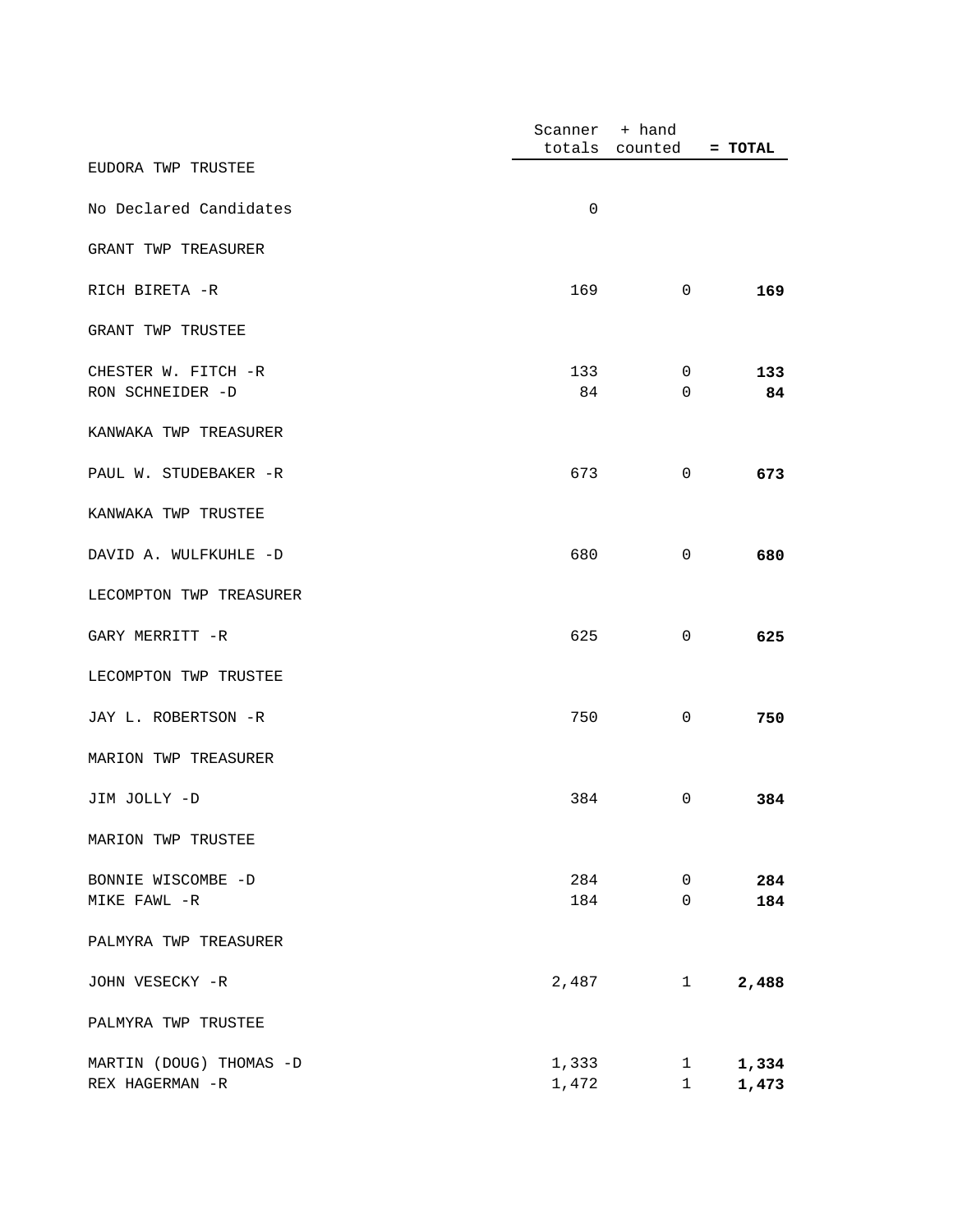|                         | Scanner | + hand      |         |
|-------------------------|---------|-------------|---------|
|                         | totals  | counted     | = TOTAL |
| EUDORA TWP TRUSTEE      |         |             |         |
| No Declared Candidates  | 0       |             |         |
| GRANT TWP TREASURER     |         |             |         |
| RICH BIRETA -R          | 169     | 0           | 169     |
| GRANT TWP TRUSTEE       |         |             |         |
| CHESTER W. FITCH -R     | 133     | 0           | 133     |
| RON SCHNEIDER -D        | 84      | 0           | 84      |
| KANWAKA TWP TREASURER   |         |             |         |
| PAUL W. STUDEBAKER -R   | 673     | 0           | 673     |
| KANWAKA TWP TRUSTEE     |         |             |         |
| DAVID A. WULFKUHLE -D   | 680     | 0           | 680     |
| LECOMPTON TWP TREASURER |         |             |         |
| GARY MERRITT -R         | 625     | 0           | 625     |
| LECOMPTON TWP TRUSTEE   |         |             |         |
| JAY L. ROBERTSON -R     | 750     | 0           | 750     |
| MARION TWP TREASURER    |         |             |         |
| JIM JOLLY -D            | 384     | 0           | 384     |
| MARION TWP TRUSTEE      |         |             |         |
| BONNIE WISCOMBE -D      | 284     | $\mathsf 0$ | 284     |
| MIKE FAWL -R            | 184     | $\mathbf 0$ | 184     |
| PALMYRA TWP TREASURER   |         |             |         |
| JOHN VESECKY -R         | 2,487   | 1           | 2,488   |
| PALMYRA TWP TRUSTEE     |         |             |         |
| MARTIN (DOUG) THOMAS -D | 1,333   | 1           | 1,334   |
| REX HAGERMAN -R         | 1,472   | $1\,$       | 1,473   |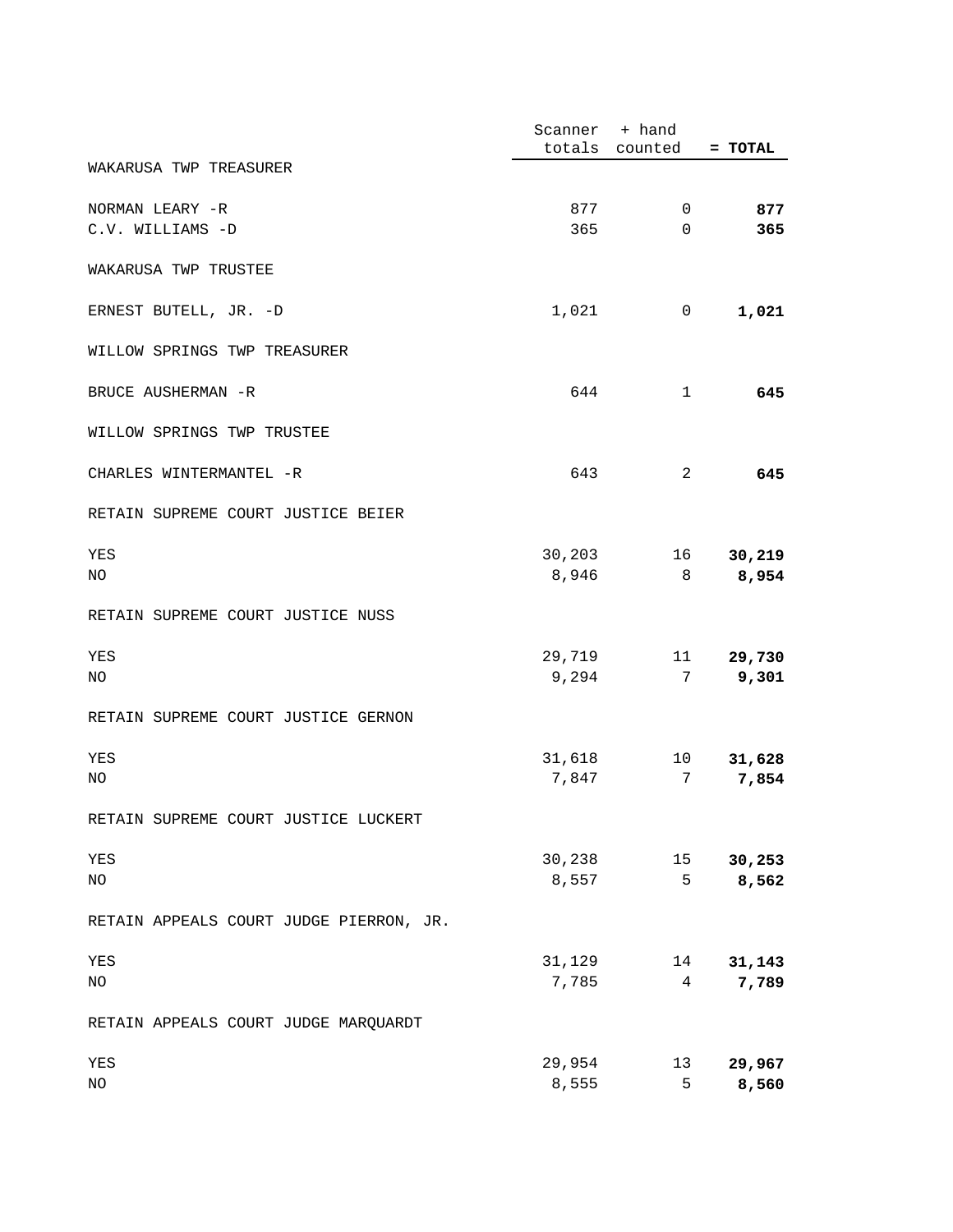|                                         | Scanner | + hand         |           |
|-----------------------------------------|---------|----------------|-----------|
|                                         |         | totals counted | $= TOTAL$ |
| WAKARUSA TWP TREASURER                  |         |                |           |
| NORMAN LEARY -R                         | 877     | $\mathbf 0$    | 877       |
| C.V. WILLIAMS -D                        | 365     | 0              | 365       |
| WAKARUSA TWP TRUSTEE                    |         |                |           |
| ERNEST BUTELL, JR. -D                   | 1,021   | 0              | 1,021     |
| WILLOW SPRINGS TWP TREASURER            |         |                |           |
| BRUCE AUSHERMAN -R                      | 644     | 1              | 645       |
| WILLOW SPRINGS TWP TRUSTEE              |         |                |           |
| CHARLES WINTERMANTEL -R                 | 643     | 2              | 645       |
| RETAIN SUPREME COURT JUSTICE BEIER      |         |                |           |
| YES                                     | 30,203  | 16             | 30,219    |
| NO                                      | 8,946   | 8              | 8,954     |
| RETAIN SUPREME COURT JUSTICE NUSS       |         |                |           |
| YES                                     | 29,719  | 11             | 29,730    |
| NO                                      | 9,294   | 7              | 9,301     |
| RETAIN SUPREME COURT JUSTICE GERNON     |         |                |           |
| YES                                     | 31,618  | 10             | 31,628    |
| NO                                      | 7,847   | 7              | 7,854     |
| RETAIN SUPREME COURT JUSTICE LUCKERT    |         |                |           |
| YES                                     | 30,238  | 15             | 30,253    |
| NO                                      | 8,557   | 5              | 8,562     |
| RETAIN APPEALS COURT JUDGE PIERRON, JR. |         |                |           |
| YES                                     | 31,129  | 14             | 31,143    |
| NO                                      | 7,785   | $\overline{4}$ | 7,789     |
| RETAIN APPEALS COURT JUDGE MARQUARDT    |         |                |           |
| YES                                     | 29,954  | 13             | 29,967    |
| NO                                      | 8,555   | 5              | 8,560     |